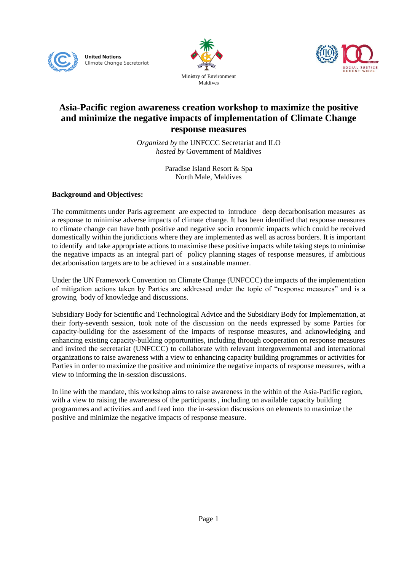





### **Asia-Pacific region awareness creation workshop to maximize the positive and minimize the negative impacts of implementation of Climate Change response measures**

*Organized by* the UNFCCC Secretariat and ILO *hosted by* Government of Maldives

> Paradise Island Resort & Spa North Male, Maldives

#### **Background and Objectives:**

The commitments under Paris agreement are expected to introduce deep decarbonisation measures as a response to minimise adverse impacts of climate change. It has been identified that response measures to climate change can have both positive and negative socio economic impacts which could be received domestically within the juridictions where they are implemented as well as across borders. It is important to identify and take appropriate actions to maximise these positive impacts while taking steps to minimise the negative impacts as an integral part of policy planning stages of response measures, if ambitious decarbonisation targets are to be achieved in a sustainable manner.

Under the UN Framework Convention on Climate Change (UNFCCC) the impacts of the implementation of mitigation actions taken by Parties are addressed under the topic of "response measures" and is a growing body of knowledge and discussions.

Subsidiary Body for Scientific and Technological Advice and the Subsidiary Body for Implementation, at their forty-seventh session, took note of the discussion on the needs expressed by some Parties for capacity-building for the assessment of the impacts of response measures, and acknowledging and enhancing existing capacity-building opportunities, including through cooperation on response measures and invited the secretariat (UNFCCC) to collaborate with relevant intergovernmental and international organizations to raise awareness with a view to enhancing capacity building programmes or activities for Parties in order to maximize the positive and minimize the negative impacts of response measures, with a view to informing the in-session discussions.

In line with the mandate, this workshop aims to raise awareness in the within of the Asia-Pacific region, with a view to raising the awareness of the participants , including on available capacity building programmes and activities and and feed into the in-session discussions on elements to maximize the positive and minimize the negative impacts of response measure.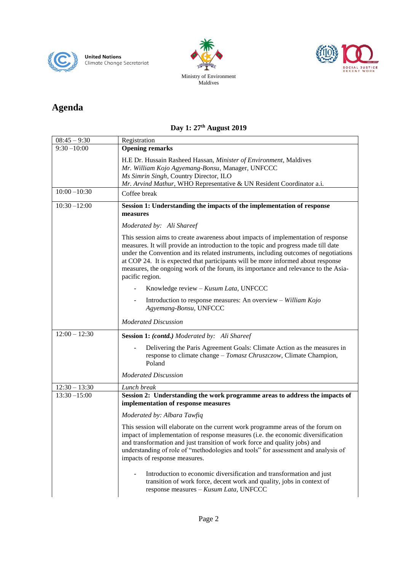





# **Agenda**

## **Day 1: 27th August 2019**

| $08:45 - 9:30$  | Registration                                                                                                                                                                                                                                                                                                                                                                                                                                                 |
|-----------------|--------------------------------------------------------------------------------------------------------------------------------------------------------------------------------------------------------------------------------------------------------------------------------------------------------------------------------------------------------------------------------------------------------------------------------------------------------------|
| $9:30 - 10:00$  | <b>Opening remarks</b>                                                                                                                                                                                                                                                                                                                                                                                                                                       |
|                 | H.E Dr. Hussain Rasheed Hassan, Minister of Environment, Maldives<br>Mr. William Kojo Agyemang-Bonsu, Manager, UNFCCC<br>Ms Simrin Singh, Country Director, ILO<br>Mr. Arvind Mathur, WHO Representative & UN Resident Coordinator a.i.                                                                                                                                                                                                                      |
| $10:00 - 10:30$ | Coffee break                                                                                                                                                                                                                                                                                                                                                                                                                                                 |
| $10:30 - 12:00$ | Session 1: Understanding the impacts of the implementation of response<br>measures                                                                                                                                                                                                                                                                                                                                                                           |
|                 | Moderated by: Ali Shareef                                                                                                                                                                                                                                                                                                                                                                                                                                    |
|                 | This session aims to create awareness about impacts of implementation of response<br>measures. It will provide an introduction to the topic and progress made till date<br>under the Convention and its related instruments, including outcomes of negotiations<br>at COP 24. It is expected that participants will be more informed about response<br>measures, the ongoing work of the forum, its importance and relevance to the Asia-<br>pacific region. |
|                 | Knowledge review - Kusum Lata, UNFCCC                                                                                                                                                                                                                                                                                                                                                                                                                        |
|                 | Introduction to response measures: An overview - William Kojo<br>Agyemang-Bonsu, UNFCCC                                                                                                                                                                                                                                                                                                                                                                      |
|                 | <b>Moderated Discussion</b>                                                                                                                                                                                                                                                                                                                                                                                                                                  |
| $12:00 - 12:30$ | <b>Session 1: (contd.)</b> Moderated by: Ali Shareef                                                                                                                                                                                                                                                                                                                                                                                                         |
|                 | Delivering the Paris Agreement Goals: Climate Action as the measures in<br>response to climate change – Tomasz Chruszczow, Climate Champion,<br>Poland                                                                                                                                                                                                                                                                                                       |
|                 | <b>Moderated Discussion</b>                                                                                                                                                                                                                                                                                                                                                                                                                                  |
| $12:30 - 13:30$ | Lunch break                                                                                                                                                                                                                                                                                                                                                                                                                                                  |
| $13:30 - 15:00$ | Session 2: Understanding the work programme areas to address the impacts of<br>implementation of response measures                                                                                                                                                                                                                                                                                                                                           |
|                 | Moderated by: Albara Tawfiq                                                                                                                                                                                                                                                                                                                                                                                                                                  |
|                 | This session will elaborate on the current work programme areas of the forum on<br>impact of implementation of response measures (i.e. the economic diversification<br>and transformation and just transition of work force and quality jobs) and<br>understanding of role of "methodologies and tools" for assessment and analysis of<br>impacts of response measures.                                                                                      |
|                 | Introduction to economic diversification and transformation and just<br>transition of work force, decent work and quality, jobs in context of<br>response measures - Kusum Lata, UNFCCC                                                                                                                                                                                                                                                                      |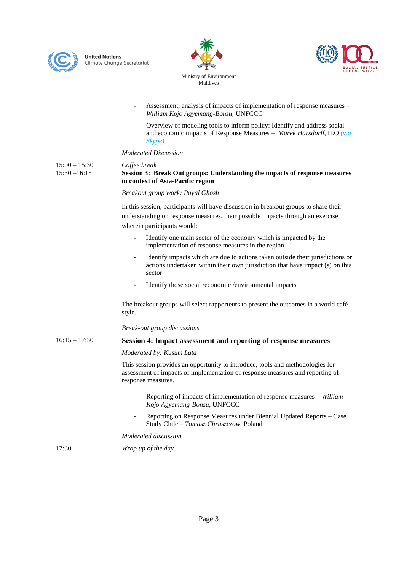





Ministry of Environment Maldives

|                 | Assessment, analysis of impacts of implementation of response measures -<br>William Kojo Agyemang-Bonsu, UNFCCC                                                                       |
|-----------------|---------------------------------------------------------------------------------------------------------------------------------------------------------------------------------------|
|                 | Overview of modeling tools to inform policy: Identify and address social<br>and economic impacts of Response Measures - Marek Harsdorff, ILO (via<br>Skype)                           |
|                 | <b>Moderated Discussion</b>                                                                                                                                                           |
| $15:00 - 15:30$ | Coffee break                                                                                                                                                                          |
| $15:30 - 16:15$ | Session 3: Break Out groups: Understanding the impacts of response measures<br>in context of Asia-Pacific region                                                                      |
|                 | Breakout group work: Payal Ghosh                                                                                                                                                      |
|                 | In this session, participants will have discussion in breakout groups to share their                                                                                                  |
|                 | understanding on response measures, their possible impacts through an exercise<br>wherein participants would:                                                                         |
|                 | Identify one main sector of the economy which is impacted by the<br>implementation of response measures in the region                                                                 |
|                 | Identify impacts which are due to actions taken outside their jurisdictions or<br>actions undertaken within their own jurisdiction that have impact (s) on this<br>sector.            |
|                 | Identify those social /economic /environmental impacts                                                                                                                                |
|                 | The breakout groups will select rapporteurs to present the outcomes in a world café<br>style.                                                                                         |
|                 | <b>Break-out group discussions</b>                                                                                                                                                    |
| $16:15 - 17:30$ | Session 4: Impact assessment and reporting of response measures                                                                                                                       |
|                 | Moderated by: Kusum Lata                                                                                                                                                              |
|                 | This session provides an opportunity to introduce, tools and methodologies for<br>assessment of impacts of implementation of response measures and reporting of<br>response measures. |
|                 | Reporting of impacts of implementation of response measures - William<br>Kojo Agyemang-Bonsu, UNFCCC                                                                                  |
|                 | Reporting on Response Measures under Biennial Updated Reports - Case<br>Study Chile - Tomasz Chruszczow, Poland                                                                       |
|                 | Moderated discussion                                                                                                                                                                  |
| 17:30           | Wrap up of the day                                                                                                                                                                    |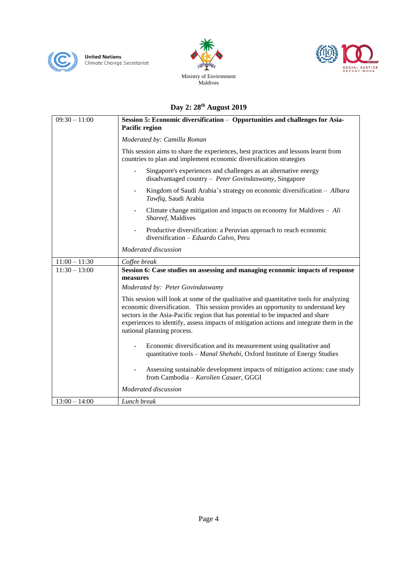





### **Day 2: 28 th August 2019**

| $09:30 - 11:00$ | Session 5: Economic diversification - Opportunities and challenges for Asia-                                                                                                                                                                                                                                                                                                          |
|-----------------|---------------------------------------------------------------------------------------------------------------------------------------------------------------------------------------------------------------------------------------------------------------------------------------------------------------------------------------------------------------------------------------|
|                 | Pacific region                                                                                                                                                                                                                                                                                                                                                                        |
|                 | Moderated by: Camilla Roman                                                                                                                                                                                                                                                                                                                                                           |
|                 | This session aims to share the experiences, best practices and lessons learnt from<br>countries to plan and implement economic diversification strategies                                                                                                                                                                                                                             |
|                 | Singapore's experiences and challenges as an alternative energy<br>$\overline{\phantom{a}}$<br>disadvantaged country - Peter Govindaswamy, Singapore                                                                                                                                                                                                                                  |
|                 | Kingdom of Saudi Arabia's strategy on economic diversification - Albara<br>Tawfiq, Saudi Arabia                                                                                                                                                                                                                                                                                       |
|                 | Climate change mitigation and impacts on economy for Maldives $-$ Ali<br>$\overline{\phantom{a}}$<br>Shareef, Maldives                                                                                                                                                                                                                                                                |
|                 | Productive diversification: a Peruvian approach to reach economic<br>diversification – Eduardo Calvo, Peru                                                                                                                                                                                                                                                                            |
|                 | Moderated discussion                                                                                                                                                                                                                                                                                                                                                                  |
| $11:00 - 11:30$ | Coffee break                                                                                                                                                                                                                                                                                                                                                                          |
| $11:30 - 13:00$ | Session 6: Case studies on assessing and managing economic impacts of response<br>measures                                                                                                                                                                                                                                                                                            |
|                 | Moderated by: Peter Govindaswamy                                                                                                                                                                                                                                                                                                                                                      |
|                 | This session will look at some of the qualitative and quantitative tools for analyzing<br>economic diversification. This session provides an opportunity to understand key<br>sectors in the Asia-Pacific region that has potential to be impacted and share<br>experiences to identify, assess impacts of mitigation actions and integrate them in the<br>national planning process. |
|                 | Economic diversification and its measurement using qualitative and<br>quantitative tools - Manal Shehabi, Oxford Institute of Energy Studies                                                                                                                                                                                                                                          |
|                 | Assessing sustainable development impacts of mitigation actions: case study<br>from Cambodia - Karolien Casaer, GGGI                                                                                                                                                                                                                                                                  |
|                 | Moderated discussion                                                                                                                                                                                                                                                                                                                                                                  |
| $13:00 - 14:00$ | Lunch break                                                                                                                                                                                                                                                                                                                                                                           |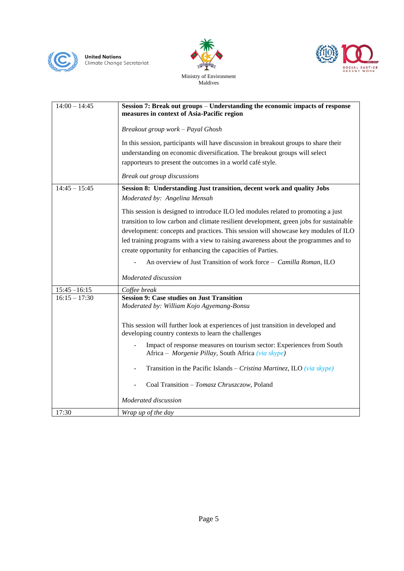





Ministry of Environment Maldives

| $14:00 - 14:45$ | Session 7: Break out groups – Understanding the economic impacts of response<br>measures in context of Asia-Pacific region                                                                                                                                                                                                                                                                                             |
|-----------------|------------------------------------------------------------------------------------------------------------------------------------------------------------------------------------------------------------------------------------------------------------------------------------------------------------------------------------------------------------------------------------------------------------------------|
|                 | Breakout group work - Payal Ghosh                                                                                                                                                                                                                                                                                                                                                                                      |
|                 | In this session, participants will have discussion in breakout groups to share their<br>understanding on economic diversification. The breakout groups will select<br>rapporteurs to present the outcomes in a world café style.                                                                                                                                                                                       |
|                 | Break out group discussions                                                                                                                                                                                                                                                                                                                                                                                            |
| $14:45 - 15:45$ | Session 8: Understanding Just transition, decent work and quality Jobs<br>Moderated by: Angelina Mensah                                                                                                                                                                                                                                                                                                                |
|                 | This session is designed to introduce ILO led modules related to promoting a just<br>transition to low carbon and climate resilient development, green jobs for sustainable<br>development: concepts and practices. This session will showcase key modules of ILO<br>led training programs with a view to raising awareness about the programmes and to<br>create opportunity for enhancing the capacities of Parties. |
|                 | An overview of Just Transition of work force - Camilla Roman, ILO                                                                                                                                                                                                                                                                                                                                                      |
|                 | Moderated discussion                                                                                                                                                                                                                                                                                                                                                                                                   |
| $15:45 - 16:15$ | Coffee break                                                                                                                                                                                                                                                                                                                                                                                                           |
| $16:15 - 17:30$ | <b>Session 9: Case studies on Just Transition</b><br>Moderated by: William Kojo Agyemang-Bonsu                                                                                                                                                                                                                                                                                                                         |
|                 | This session will further look at experiences of just transition in developed and<br>developing country contexts to learn the challenges                                                                                                                                                                                                                                                                               |
|                 | Impact of response measures on tourism sector: Experiences from South<br>Africa - Morgenie Pillay, South Africa (via skype)                                                                                                                                                                                                                                                                                            |
|                 | Transition in the Pacific Islands – Cristina Martinez, ILO (via skype)                                                                                                                                                                                                                                                                                                                                                 |
|                 | Coal Transition - Tomasz Chruszczow, Poland                                                                                                                                                                                                                                                                                                                                                                            |
|                 | Moderated discussion                                                                                                                                                                                                                                                                                                                                                                                                   |
| 17:30           | Wrap up of the day                                                                                                                                                                                                                                                                                                                                                                                                     |